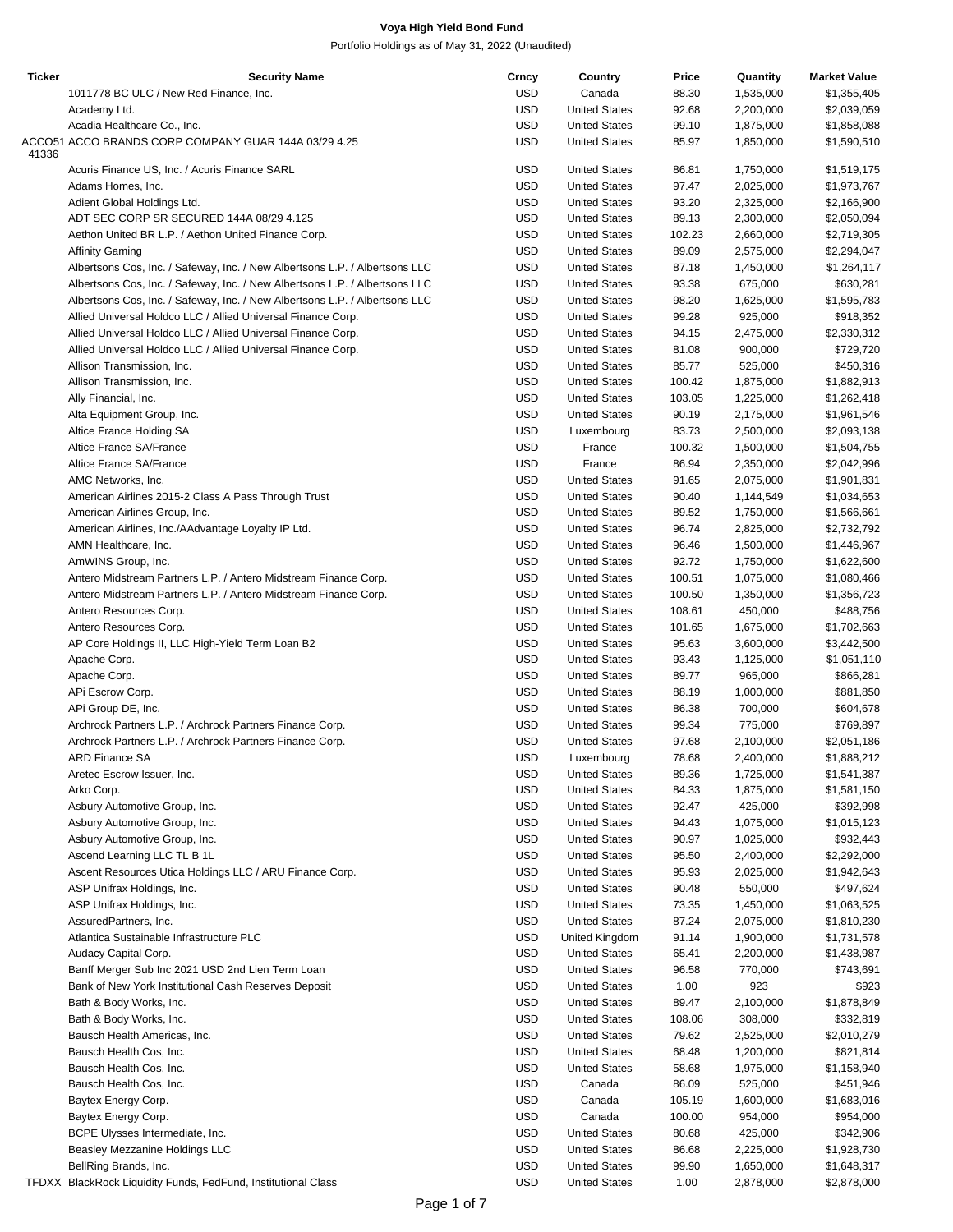| <b>Ticker</b> | <b>Security Name</b>                                                        | Crncy      | Country              | Price  | Quantity  | <b>Market Value</b> |
|---------------|-----------------------------------------------------------------------------|------------|----------------------|--------|-----------|---------------------|
|               | 1011778 BC ULC / New Red Finance, Inc.                                      | USD        | Canada               | 88.30  | 1,535,000 | \$1,355,405         |
|               | Academy Ltd.                                                                | <b>USD</b> | <b>United States</b> | 92.68  | 2,200,000 | \$2,039,059         |
|               | Acadia Healthcare Co., Inc.                                                 | <b>USD</b> | <b>United States</b> | 99.10  | 1,875,000 | \$1,858,088         |
|               | ACCO51 ACCO BRANDS CORP COMPANY GUAR 144A 03/29 4.25                        | <b>USD</b> |                      |        |           |                     |
| 41336         |                                                                             |            | <b>United States</b> | 85.97  | 1,850,000 | \$1,590,510         |
|               | Acuris Finance US, Inc. / Acuris Finance SARL                               | <b>USD</b> | <b>United States</b> | 86.81  | 1,750,000 | \$1,519,175         |
|               |                                                                             |            |                      |        |           |                     |
|               | Adams Homes, Inc.                                                           | <b>USD</b> | <b>United States</b> | 97.47  | 2,025,000 | \$1,973,767         |
|               | Adient Global Holdings Ltd.                                                 | <b>USD</b> | <b>United States</b> | 93.20  | 2,325,000 | \$2,166,900         |
|               | ADT SEC CORP SR SECURED 144A 08/29 4.125                                    | <b>USD</b> | <b>United States</b> | 89.13  | 2,300,000 | \$2,050,094         |
|               | Aethon United BR L.P. / Aethon United Finance Corp.                         | <b>USD</b> | <b>United States</b> | 102.23 | 2,660,000 | \$2,719,305         |
|               | <b>Affinity Gaming</b>                                                      | <b>USD</b> | <b>United States</b> | 89.09  | 2,575,000 | \$2,294,047         |
|               | Albertsons Cos, Inc. / Safeway, Inc. / New Albertsons L.P. / Albertsons LLC | <b>USD</b> | <b>United States</b> | 87.18  | 1,450,000 | \$1,264,117         |
|               | Albertsons Cos, Inc. / Safeway, Inc. / New Albertsons L.P. / Albertsons LLC | <b>USD</b> | <b>United States</b> | 93.38  | 675,000   | \$630,281           |
|               |                                                                             |            |                      |        |           |                     |
|               | Albertsons Cos, Inc. / Safeway, Inc. / New Albertsons L.P. / Albertsons LLC | <b>USD</b> | <b>United States</b> | 98.20  | 1,625,000 | \$1,595,783         |
|               | Allied Universal Holdco LLC / Allied Universal Finance Corp.                | <b>USD</b> | <b>United States</b> | 99.28  | 925,000   | \$918,352           |
|               | Allied Universal Holdco LLC / Allied Universal Finance Corp.                | <b>USD</b> | <b>United States</b> | 94.15  | 2,475,000 | \$2,330,312         |
|               | Allied Universal Holdco LLC / Allied Universal Finance Corp.                | <b>USD</b> | <b>United States</b> | 81.08  | 900,000   | \$729,720           |
|               | Allison Transmission, Inc.                                                  | <b>USD</b> | <b>United States</b> | 85.77  | 525,000   | \$450,316           |
|               | Allison Transmission, Inc.                                                  | <b>USD</b> | <b>United States</b> | 100.42 | 1,875,000 |                     |
|               |                                                                             |            |                      |        |           | \$1,882,913         |
|               | Ally Financial, Inc.                                                        | <b>USD</b> | <b>United States</b> | 103.05 | 1,225,000 | \$1,262,418         |
|               | Alta Equipment Group, Inc.                                                  | <b>USD</b> | <b>United States</b> | 90.19  | 2,175,000 | \$1,961,546         |
|               | Altice France Holding SA                                                    | <b>USD</b> | Luxembourg           | 83.73  | 2,500,000 | \$2,093,138         |
|               | Altice France SA/France                                                     | <b>USD</b> | France               | 100.32 | 1,500,000 | \$1,504,755         |
|               | Altice France SA/France                                                     | <b>USD</b> | France               | 86.94  | 2,350,000 | \$2,042,996         |
|               |                                                                             |            |                      |        |           |                     |
|               | AMC Networks, Inc.                                                          | <b>USD</b> | <b>United States</b> | 91.65  | 2,075,000 | \$1,901,831         |
|               | American Airlines 2015-2 Class A Pass Through Trust                         | <b>USD</b> | <b>United States</b> | 90.40  | 1,144,549 | \$1,034,653         |
|               | American Airlines Group, Inc.                                               | <b>USD</b> | <b>United States</b> | 89.52  | 1,750,000 | \$1,566,661         |
|               | American Airlines, Inc./AAdvantage Loyalty IP Ltd.                          | <b>USD</b> | <b>United States</b> | 96.74  | 2,825,000 | \$2,732,792         |
|               | AMN Healthcare, Inc.                                                        | <b>USD</b> | <b>United States</b> | 96.46  | 1,500,000 | \$1,446,967         |
|               |                                                                             |            |                      |        |           |                     |
|               | AmWINS Group, Inc.                                                          | <b>USD</b> | <b>United States</b> | 92.72  | 1,750,000 | \$1,622,600         |
|               | Antero Midstream Partners L.P. / Antero Midstream Finance Corp.             | <b>USD</b> | <b>United States</b> | 100.51 | 1,075,000 | \$1,080,466         |
|               | Antero Midstream Partners L.P. / Antero Midstream Finance Corp.             | <b>USD</b> | <b>United States</b> | 100.50 | 1,350,000 | \$1,356,723         |
|               | Antero Resources Corp.                                                      | <b>USD</b> | <b>United States</b> | 108.61 | 450,000   | \$488,756           |
|               | Antero Resources Corp.                                                      | <b>USD</b> | <b>United States</b> | 101.65 | 1,675,000 | \$1,702,663         |
|               |                                                                             | <b>USD</b> | <b>United States</b> |        |           |                     |
|               | AP Core Holdings II, LLC High-Yield Term Loan B2                            |            |                      | 95.63  | 3,600,000 | \$3,442,500         |
|               | Apache Corp.                                                                | <b>USD</b> | <b>United States</b> | 93.43  | 1,125,000 | \$1,051,110         |
|               | Apache Corp.                                                                | <b>USD</b> | <b>United States</b> | 89.77  | 965,000   | \$866,281           |
|               | APi Escrow Corp.                                                            | <b>USD</b> | <b>United States</b> | 88.19  | 1,000,000 | \$881,850           |
|               | APi Group DE, Inc.                                                          | <b>USD</b> | <b>United States</b> | 86.38  | 700,000   | \$604,678           |
|               | Archrock Partners L.P. / Archrock Partners Finance Corp.                    | <b>USD</b> | <b>United States</b> | 99.34  | 775,000   | \$769,897           |
|               |                                                                             |            |                      |        |           |                     |
|               | Archrock Partners L.P. / Archrock Partners Finance Corp.                    | <b>USD</b> | <b>United States</b> | 97.68  | 2,100,000 | \$2,051,186         |
|               | <b>ARD Finance SA</b>                                                       | <b>USD</b> | Luxembourg           | 78.68  | 2,400,000 | \$1,888,212         |
|               | Aretec Escrow Issuer, Inc.                                                  | USD        | <b>United States</b> | 89.36  | 1,725,000 | \$1,541,387         |
|               | Arko Corp.                                                                  | <b>USD</b> | <b>United States</b> | 84.33  | 1,875,000 | \$1,581,150         |
|               | Asbury Automotive Group, Inc.                                               | USD        | <b>United States</b> | 92.47  | 425,000   | \$392,998           |
|               |                                                                             |            |                      |        |           |                     |
|               | Asbury Automotive Group, Inc.                                               | <b>USD</b> | <b>United States</b> | 94.43  | 1,075,000 | \$1,015,123         |
|               | Asbury Automotive Group, Inc.                                               | <b>USD</b> | <b>United States</b> | 90.97  | 1,025,000 | \$932,443           |
|               | Ascend Learning LLC TL B 1L                                                 | <b>USD</b> | <b>United States</b> | 95.50  | 2,400,000 | \$2,292,000         |
|               | Ascent Resources Utica Holdings LLC / ARU Finance Corp.                     | <b>USD</b> | <b>United States</b> | 95.93  | 2,025,000 | \$1,942,643         |
|               | ASP Unifrax Holdings, Inc.                                                  | <b>USD</b> | <b>United States</b> | 90.48  | 550,000   | \$497,624           |
|               |                                                                             |            |                      |        |           |                     |
|               | ASP Unifrax Holdings, Inc.                                                  | USD        | <b>United States</b> | 73.35  | 1,450,000 | \$1,063,525         |
|               | AssuredPartners, Inc.                                                       | <b>USD</b> | <b>United States</b> | 87.24  | 2,075,000 | \$1,810,230         |
|               | Atlantica Sustainable Infrastructure PLC                                    | USD        | United Kingdom       | 91.14  | 1,900,000 | \$1,731,578         |
|               | Audacy Capital Corp.                                                        | <b>USD</b> | <b>United States</b> | 65.41  | 2,200,000 | \$1,438,987         |
|               | Banff Merger Sub Inc 2021 USD 2nd Lien Term Loan                            | <b>USD</b> | <b>United States</b> | 96.58  | 770,000   | \$743,691           |
|               | Bank of New York Institutional Cash Reserves Deposit                        | USD        | <b>United States</b> | 1.00   | 923       | \$923               |
|               |                                                                             |            |                      |        |           |                     |
|               | Bath & Body Works, Inc.                                                     | <b>USD</b> | <b>United States</b> | 89.47  | 2,100,000 | \$1,878,849         |
|               | Bath & Body Works, Inc.                                                     | <b>USD</b> | <b>United States</b> | 108.06 | 308,000   | \$332,819           |
|               | Bausch Health Americas, Inc.                                                | <b>USD</b> | <b>United States</b> | 79.62  | 2,525,000 | \$2,010,279         |
|               | Bausch Health Cos, Inc.                                                     | <b>USD</b> | <b>United States</b> | 68.48  | 1,200,000 | \$821,814           |
|               | Bausch Health Cos, Inc.                                                     | USD        | <b>United States</b> | 58.68  | 1,975,000 | \$1,158,940         |
|               |                                                                             |            |                      |        |           |                     |
|               | Bausch Health Cos, Inc.                                                     | <b>USD</b> | Canada               | 86.09  | 525,000   | \$451,946           |
|               | Baytex Energy Corp.                                                         | <b>USD</b> | Canada               | 105.19 | 1,600,000 | \$1,683,016         |
|               | Baytex Energy Corp.                                                         | <b>USD</b> | Canada               | 100.00 | 954,000   | \$954,000           |
|               | BCPE Ulysses Intermediate, Inc.                                             | <b>USD</b> | <b>United States</b> | 80.68  | 425,000   | \$342,906           |
|               | Beasley Mezzanine Holdings LLC                                              | <b>USD</b> | <b>United States</b> | 86.68  | 2,225,000 | \$1,928,730         |
|               | BellRing Brands, Inc.                                                       | <b>USD</b> | <b>United States</b> | 99.90  | 1,650,000 | \$1,648,317         |
|               |                                                                             |            |                      |        |           |                     |
|               | TFDXX BlackRock Liquidity Funds, FedFund, Institutional Class               | <b>USD</b> | <b>United States</b> | 1.00   | 2,878,000 | \$2,878,000         |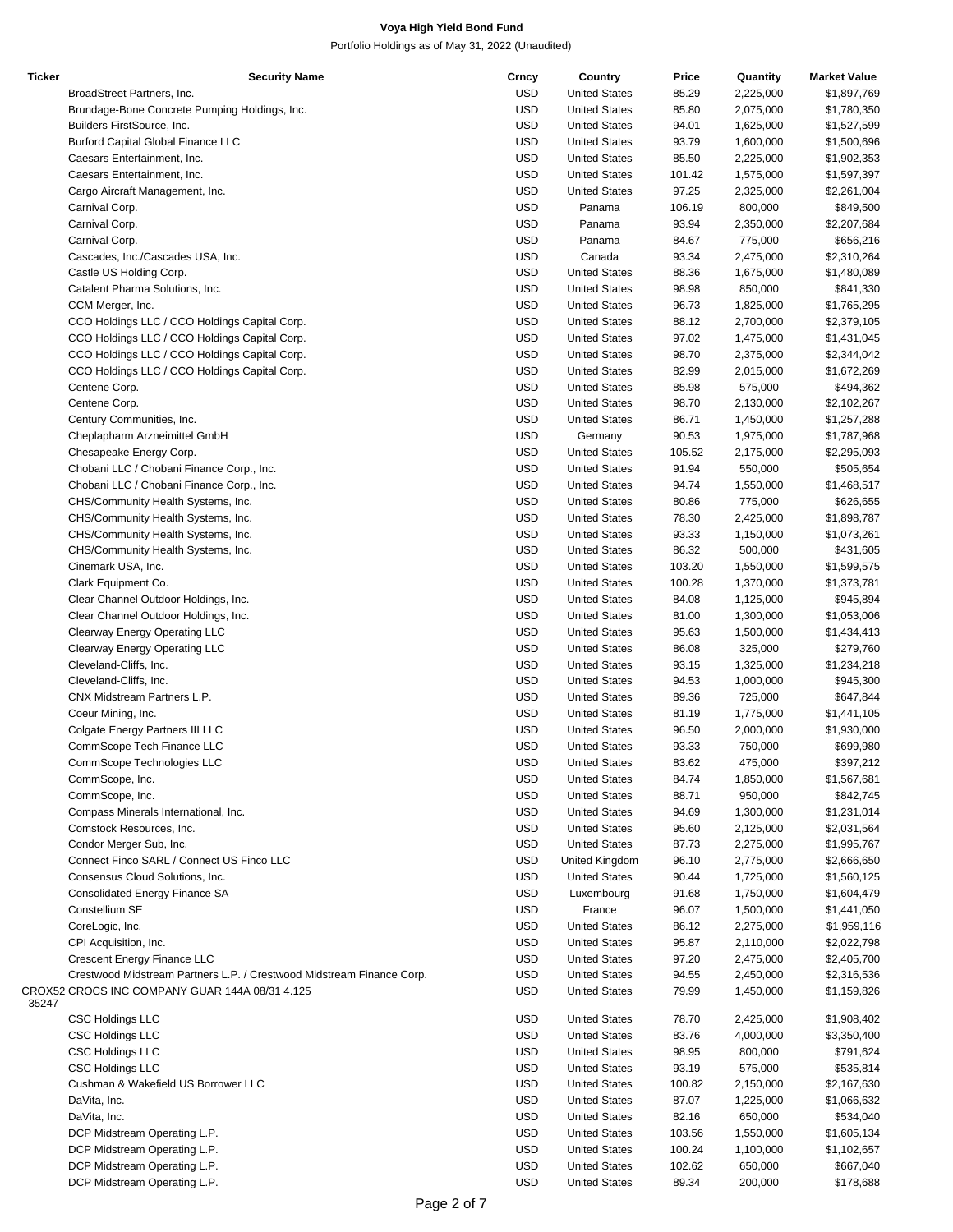| <b>Ticker</b> | <b>Security Name</b>                                                  | Crncy      | Country              | Price  | Quantity  | <b>Market Value</b> |
|---------------|-----------------------------------------------------------------------|------------|----------------------|--------|-----------|---------------------|
|               | BroadStreet Partners, Inc.                                            | <b>USD</b> | <b>United States</b> | 85.29  | 2,225,000 | \$1,897,769         |
|               | Brundage-Bone Concrete Pumping Holdings, Inc.                         | <b>USD</b> | <b>United States</b> | 85.80  | 2,075,000 | \$1,780,350         |
|               | Builders FirstSource, Inc.                                            | <b>USD</b> | <b>United States</b> | 94.01  | 1,625,000 | \$1,527,599         |
|               | <b>Burford Capital Global Finance LLC</b>                             | <b>USD</b> | <b>United States</b> | 93.79  | 1,600,000 | \$1,500,696         |
|               |                                                                       | <b>USD</b> | <b>United States</b> |        |           |                     |
|               | Caesars Entertainment, Inc.                                           |            |                      | 85.50  | 2,225,000 | \$1,902,353         |
|               | Caesars Entertainment, Inc.                                           | <b>USD</b> | <b>United States</b> | 101.42 | 1,575,000 | \$1,597,397         |
|               | Cargo Aircraft Management, Inc.                                       | <b>USD</b> | <b>United States</b> | 97.25  | 2,325,000 | \$2,261,004         |
|               | Carnival Corp.                                                        | <b>USD</b> | Panama               | 106.19 | 800,000   | \$849,500           |
|               | Carnival Corp.                                                        | <b>USD</b> | Panama               | 93.94  | 2,350,000 | \$2,207,684         |
|               | Carnival Corp.                                                        | <b>USD</b> | Panama               | 84.67  | 775,000   | \$656,216           |
|               | Cascades, Inc./Cascades USA, Inc.                                     | <b>USD</b> | Canada               | 93.34  | 2,475,000 | \$2,310,264         |
|               |                                                                       | <b>USD</b> | <b>United States</b> |        | 1,675,000 | \$1,480,089         |
|               | Castle US Holding Corp.                                               |            |                      | 88.36  |           |                     |
|               | Catalent Pharma Solutions, Inc.                                       | <b>USD</b> | <b>United States</b> | 98.98  | 850,000   | \$841,330           |
|               | CCM Merger, Inc.                                                      | <b>USD</b> | <b>United States</b> | 96.73  | 1,825,000 | \$1,765,295         |
|               | CCO Holdings LLC / CCO Holdings Capital Corp.                         | <b>USD</b> | <b>United States</b> | 88.12  | 2,700,000 | \$2,379,105         |
|               | CCO Holdings LLC / CCO Holdings Capital Corp.                         | <b>USD</b> | <b>United States</b> | 97.02  | 1,475,000 | \$1,431,045         |
|               | CCO Holdings LLC / CCO Holdings Capital Corp.                         | <b>USD</b> | <b>United States</b> | 98.70  | 2,375,000 | \$2,344,042         |
|               | CCO Holdings LLC / CCO Holdings Capital Corp.                         | <b>USD</b> | <b>United States</b> | 82.99  | 2,015,000 | \$1,672,269         |
|               |                                                                       |            | <b>United States</b> |        |           | \$494,362           |
|               | Centene Corp.                                                         | <b>USD</b> |                      | 85.98  | 575,000   |                     |
|               | Centene Corp.                                                         | <b>USD</b> | <b>United States</b> | 98.70  | 2,130,000 | \$2,102,267         |
|               | Century Communities, Inc.                                             | <b>USD</b> | <b>United States</b> | 86.71  | 1,450,000 | \$1,257,288         |
|               | Cheplapharm Arzneimittel GmbH                                         | <b>USD</b> | Germany              | 90.53  | 1,975,000 | \$1,787,968         |
|               | Chesapeake Energy Corp.                                               | <b>USD</b> | <b>United States</b> | 105.52 | 2,175,000 | \$2,295,093         |
|               | Chobani LLC / Chobani Finance Corp., Inc.                             | <b>USD</b> | <b>United States</b> | 91.94  | 550,000   | \$505,654           |
|               |                                                                       |            | <b>United States</b> |        |           |                     |
|               | Chobani LLC / Chobani Finance Corp., Inc.                             | <b>USD</b> |                      | 94.74  | 1,550,000 | \$1,468,517         |
|               | CHS/Community Health Systems, Inc.                                    | <b>USD</b> | <b>United States</b> | 80.86  | 775,000   | \$626,655           |
|               | CHS/Community Health Systems, Inc.                                    | <b>USD</b> | <b>United States</b> | 78.30  | 2,425,000 | \$1,898,787         |
|               | CHS/Community Health Systems, Inc.                                    | <b>USD</b> | <b>United States</b> | 93.33  | 1,150,000 | \$1,073,261         |
|               | CHS/Community Health Systems, Inc.                                    | <b>USD</b> | <b>United States</b> | 86.32  | 500,000   | \$431,605           |
|               | Cinemark USA, Inc.                                                    | <b>USD</b> | <b>United States</b> | 103.20 | 1,550,000 | \$1,599,575         |
|               |                                                                       |            |                      |        |           |                     |
|               | Clark Equipment Co.                                                   | <b>USD</b> | <b>United States</b> | 100.28 | 1,370,000 | \$1,373,781         |
|               | Clear Channel Outdoor Holdings, Inc.                                  | <b>USD</b> | <b>United States</b> | 84.08  | 1,125,000 | \$945,894           |
|               | Clear Channel Outdoor Holdings, Inc.                                  | <b>USD</b> | <b>United States</b> | 81.00  | 1,300,000 | \$1,053,006         |
|               | Clearway Energy Operating LLC                                         | <b>USD</b> | <b>United States</b> | 95.63  | 1,500,000 | \$1,434,413         |
|               | Clearway Energy Operating LLC                                         | <b>USD</b> | <b>United States</b> | 86.08  | 325,000   | \$279,760           |
|               |                                                                       | <b>USD</b> | <b>United States</b> |        |           |                     |
|               | Cleveland-Cliffs, Inc.                                                |            |                      | 93.15  | 1,325,000 | \$1,234,218         |
|               | Cleveland-Cliffs, Inc.                                                | <b>USD</b> | <b>United States</b> | 94.53  | 1,000,000 | \$945,300           |
|               | CNX Midstream Partners L.P.                                           | <b>USD</b> | <b>United States</b> | 89.36  | 725,000   | \$647,844           |
|               | Coeur Mining, Inc.                                                    | <b>USD</b> | <b>United States</b> | 81.19  | 1,775,000 | \$1,441,105         |
|               | Colgate Energy Partners III LLC                                       | <b>USD</b> | <b>United States</b> | 96.50  | 2,000,000 | \$1,930,000         |
|               | CommScope Tech Finance LLC                                            | <b>USD</b> | <b>United States</b> | 93.33  | 750,000   | \$699,980           |
|               |                                                                       |            |                      |        |           |                     |
|               | CommScope Technologies LLC                                            | <b>USD</b> | <b>United States</b> | 83.62  | 475.000   | \$397,212           |
|               | CommScope, Inc.                                                       | <b>USD</b> | <b>United States</b> | 84.74  | 1,850,000 | \$1,567,681         |
|               | CommScope, Inc.                                                       | <b>USD</b> | <b>United States</b> | 88.71  | 950,000   | \$842,745           |
|               | Compass Minerals International, Inc.                                  | <b>USD</b> | <b>United States</b> | 94.69  | 1,300,000 | \$1,231,014         |
|               | Comstock Resources, Inc.                                              | <b>USD</b> | <b>United States</b> | 95.60  | 2,125,000 | \$2,031,564         |
|               | Condor Merger Sub, Inc.                                               | <b>USD</b> | <b>United States</b> | 87.73  | 2,275,000 | \$1,995,767         |
|               |                                                                       |            |                      |        |           |                     |
|               | Connect Finco SARL / Connect US Finco LLC                             | <b>USD</b> | United Kingdom       | 96.10  | 2,775,000 | \$2,666,650         |
|               | Consensus Cloud Solutions, Inc.                                       | <b>USD</b> | <b>United States</b> | 90.44  | 1,725,000 | \$1,560,125         |
|               | Consolidated Energy Finance SA                                        | <b>USD</b> | Luxembourg           | 91.68  | 1,750,000 | \$1,604,479         |
|               | Constellium SE                                                        | <b>USD</b> | France               | 96.07  | 1,500,000 | \$1,441,050         |
|               | CoreLogic, Inc.                                                       | <b>USD</b> | <b>United States</b> | 86.12  | 2,275,000 | \$1,959,116         |
|               | CPI Acquisition, Inc.                                                 | <b>USD</b> | <b>United States</b> | 95.87  | 2,110,000 | \$2,022,798         |
|               |                                                                       |            |                      |        |           |                     |
|               | Crescent Energy Finance LLC                                           | <b>USD</b> | <b>United States</b> | 97.20  | 2,475,000 | \$2,405,700         |
|               | Crestwood Midstream Partners L.P. / Crestwood Midstream Finance Corp. | <b>USD</b> | <b>United States</b> | 94.55  | 2,450,000 | \$2,316,536         |
| 35247         | CROX52 CROCS INC COMPANY GUAR 144A 08/31 4.125                        | <b>USD</b> | <b>United States</b> | 79.99  | 1,450,000 | \$1,159,826         |
|               | <b>CSC Holdings LLC</b>                                               | <b>USD</b> | <b>United States</b> | 78.70  | 2,425,000 | \$1,908,402         |
|               | <b>CSC Holdings LLC</b>                                               | <b>USD</b> | <b>United States</b> | 83.76  | 4,000,000 | \$3,350,400         |
|               |                                                                       |            |                      |        |           |                     |
|               | <b>CSC Holdings LLC</b>                                               | <b>USD</b> | <b>United States</b> | 98.95  | 800,000   | \$791,624           |
|               | <b>CSC Holdings LLC</b>                                               | <b>USD</b> | <b>United States</b> | 93.19  | 575,000   | \$535,814           |
|               | Cushman & Wakefield US Borrower LLC                                   | <b>USD</b> | <b>United States</b> | 100.82 | 2,150,000 | \$2,167,630         |
|               | DaVita, Inc.                                                          | <b>USD</b> | <b>United States</b> | 87.07  | 1,225,000 | \$1,066,632         |
|               | DaVita, Inc.                                                          | <b>USD</b> | <b>United States</b> | 82.16  | 650,000   | \$534,040           |
|               |                                                                       |            |                      |        |           |                     |
|               | DCP Midstream Operating L.P.                                          | <b>USD</b> | <b>United States</b> | 103.56 | 1,550,000 | \$1,605,134         |
|               | DCP Midstream Operating L.P.                                          | <b>USD</b> | <b>United States</b> | 100.24 | 1,100,000 | \$1,102,657         |
|               | DCP Midstream Operating L.P.                                          | USD        | <b>United States</b> | 102.62 | 650,000   | \$667,040           |
|               | DCP Midstream Operating L.P.                                          | <b>USD</b> | <b>United States</b> | 89.34  | 200,000   | \$178,688           |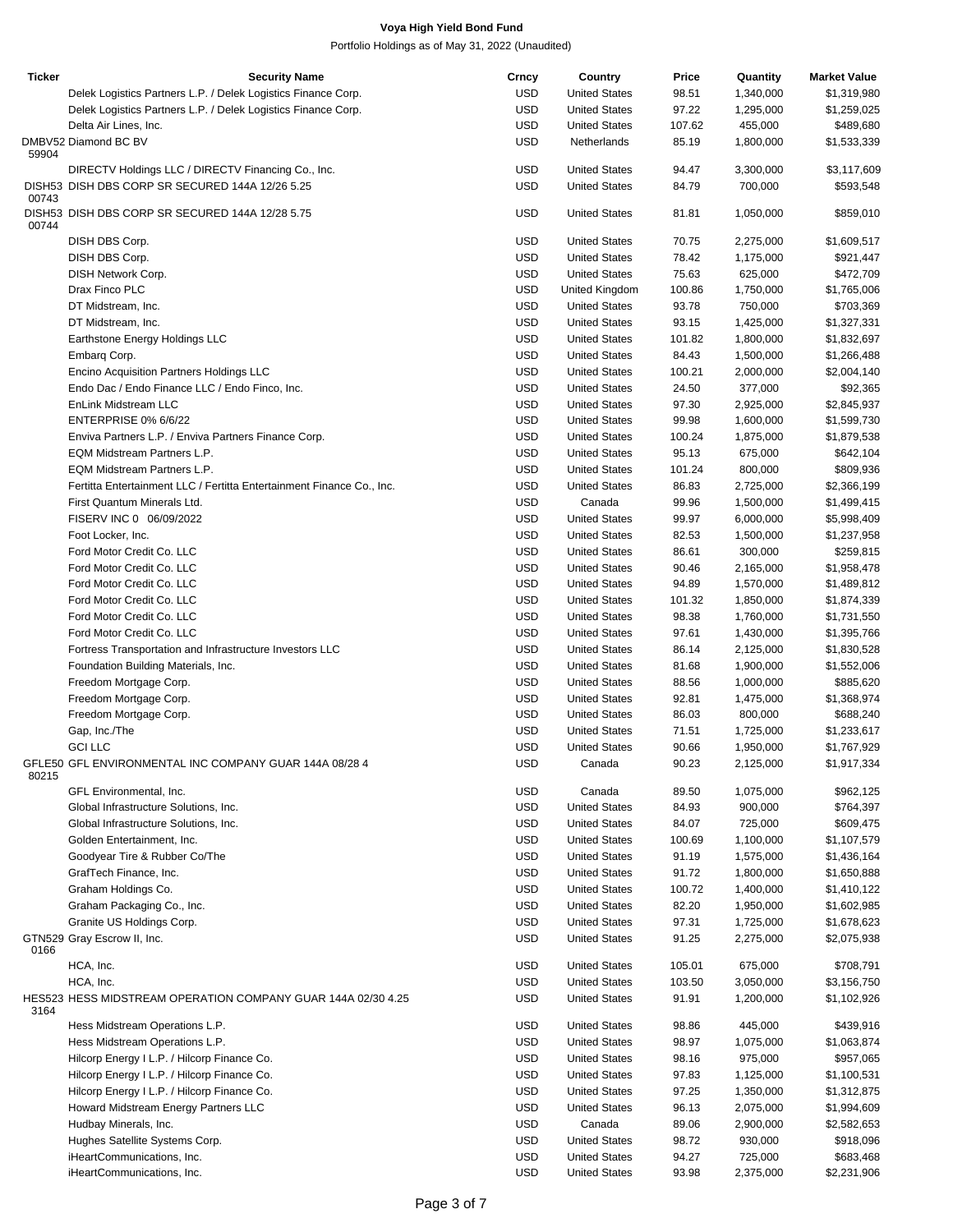| <b>Ticker</b> | <b>Security Name</b>                                                  | Crncy      | Country              | Price  | Quantity  | <b>Market Value</b> |
|---------------|-----------------------------------------------------------------------|------------|----------------------|--------|-----------|---------------------|
|               | Delek Logistics Partners L.P. / Delek Logistics Finance Corp.         | <b>USD</b> | <b>United States</b> | 98.51  | 1,340,000 | \$1,319,980         |
|               | Delek Logistics Partners L.P. / Delek Logistics Finance Corp.         | <b>USD</b> | <b>United States</b> | 97.22  | 1,295,000 | \$1,259,025         |
|               | Delta Air Lines, Inc.                                                 | <b>USD</b> | <b>United States</b> | 107.62 | 455,000   | \$489,680           |
|               | DMBV52 Diamond BC BV                                                  | <b>USD</b> | Netherlands          | 85.19  | 1,800,000 | \$1,533,339         |
| 59904         |                                                                       |            |                      |        |           |                     |
|               | DIRECTV Holdings LLC / DIRECTV Financing Co., Inc.                    | <b>USD</b> | <b>United States</b> | 94.47  | 3,300,000 | \$3,117,609         |
|               | DISH53 DISH DBS CORP SR SECURED 144A 12/26 5.25                       | <b>USD</b> | <b>United States</b> | 84.79  | 700,000   | \$593,548           |
| 00743         |                                                                       |            |                      |        |           |                     |
| 00744         | DISH53 DISH DBS CORP SR SECURED 144A 12/28 5.75                       | <b>USD</b> | <b>United States</b> | 81.81  | 1,050,000 | \$859,010           |
|               | DISH DBS Corp.                                                        | <b>USD</b> | <b>United States</b> | 70.75  | 2,275,000 | \$1,609,517         |
|               |                                                                       |            |                      |        |           |                     |
|               | DISH DBS Corp.                                                        | <b>USD</b> | <b>United States</b> | 78.42  | 1,175,000 | \$921,447           |
|               | DISH Network Corp.                                                    | <b>USD</b> | <b>United States</b> | 75.63  | 625,000   | \$472,709           |
|               | Drax Finco PLC                                                        | <b>USD</b> | United Kingdom       | 100.86 | 1,750,000 | \$1,765,006         |
|               | DT Midstream, Inc.                                                    | <b>USD</b> | <b>United States</b> | 93.78  | 750,000   | \$703,369           |
|               | DT Midstream, Inc.                                                    | <b>USD</b> | <b>United States</b> | 93.15  | 1,425,000 | \$1,327,331         |
|               | Earthstone Energy Holdings LLC                                        | <b>USD</b> | <b>United States</b> | 101.82 | 1,800,000 | \$1,832,697         |
|               | Embarg Corp.                                                          | <b>USD</b> | <b>United States</b> | 84.43  | 1,500,000 | \$1,266,488         |
|               | Encino Acquisition Partners Holdings LLC                              | <b>USD</b> | <b>United States</b> | 100.21 | 2,000,000 | \$2,004,140         |
|               | Endo Dac / Endo Finance LLC / Endo Finco, Inc.                        | <b>USD</b> | <b>United States</b> | 24.50  | 377,000   | \$92,365            |
|               | EnLink Midstream LLC                                                  | <b>USD</b> | <b>United States</b> | 97.30  | 2,925,000 | \$2,845,937         |
|               |                                                                       |            |                      |        |           |                     |
|               | ENTERPRISE 0% 6/6/22                                                  | <b>USD</b> | <b>United States</b> | 99.98  | 1,600,000 | \$1,599,730         |
|               | Enviva Partners L.P. / Enviva Partners Finance Corp.                  | <b>USD</b> | <b>United States</b> | 100.24 | 1,875,000 | \$1,879,538         |
|               | EQM Midstream Partners L.P.                                           | <b>USD</b> | <b>United States</b> | 95.13  | 675,000   | \$642,104           |
|               | EQM Midstream Partners L.P.                                           | <b>USD</b> | <b>United States</b> | 101.24 | 800,000   | \$809,936           |
|               | Fertitta Entertainment LLC / Fertitta Entertainment Finance Co., Inc. | <b>USD</b> | <b>United States</b> | 86.83  | 2,725,000 | \$2,366,199         |
|               | First Quantum Minerals Ltd.                                           | <b>USD</b> | Canada               | 99.96  | 1,500,000 | \$1,499,415         |
|               | FISERV INC 0 06/09/2022                                               | <b>USD</b> | <b>United States</b> | 99.97  | 6,000,000 | \$5,998,409         |
|               | Foot Locker, Inc.                                                     | <b>USD</b> | <b>United States</b> | 82.53  | 1,500,000 | \$1,237,958         |
|               | Ford Motor Credit Co. LLC                                             | <b>USD</b> | <b>United States</b> |        |           |                     |
|               |                                                                       |            |                      | 86.61  | 300,000   | \$259,815           |
|               | Ford Motor Credit Co. LLC                                             | <b>USD</b> | <b>United States</b> | 90.46  | 2,165,000 | \$1,958,478         |
|               | Ford Motor Credit Co. LLC                                             | <b>USD</b> | <b>United States</b> | 94.89  | 1,570,000 | \$1,489,812         |
|               | Ford Motor Credit Co. LLC                                             | <b>USD</b> | <b>United States</b> | 101.32 | 1,850,000 | \$1,874,339         |
|               | Ford Motor Credit Co. LLC                                             | <b>USD</b> | <b>United States</b> | 98.38  | 1,760,000 | \$1,731,550         |
|               | Ford Motor Credit Co. LLC                                             | <b>USD</b> | <b>United States</b> | 97.61  | 1,430,000 | \$1,395,766         |
|               | Fortress Transportation and Infrastructure Investors LLC              | <b>USD</b> | <b>United States</b> | 86.14  | 2,125,000 | \$1,830,528         |
|               | Foundation Building Materials, Inc.                                   | <b>USD</b> | <b>United States</b> | 81.68  | 1,900,000 | \$1,552,006         |
|               | Freedom Mortgage Corp.                                                | <b>USD</b> | <b>United States</b> | 88.56  | 1,000,000 | \$885,620           |
|               | Freedom Mortgage Corp.                                                | <b>USD</b> | <b>United States</b> | 92.81  | 1,475,000 | \$1,368,974         |
|               |                                                                       |            |                      |        |           |                     |
|               | Freedom Mortgage Corp.                                                | <b>USD</b> | <b>United States</b> | 86.03  | 800,000   | \$688,240           |
|               | Gap, Inc./The                                                         | <b>USD</b> | <b>United States</b> | 71.51  | 1,725,000 | \$1,233,617         |
|               | <b>GCI LLC</b>                                                        | <b>USD</b> | <b>United States</b> | 90.66  | 1,950,000 | \$1,767,929         |
| 80215         | GFLE50 GFL ENVIRONMENTAL INC COMPANY GUAR 144A 08/28 4                | <b>USD</b> | Canada               | 90.23  | 2,125,000 | \$1,917,334         |
|               | GFL Environmental, Inc.                                               | <b>USD</b> | Canada               | 89.50  | 1,075,000 | \$962,125           |
|               | Global Infrastructure Solutions, Inc.                                 | <b>USD</b> | <b>United States</b> | 84.93  | 900,000   | \$764,397           |
|               | Global Infrastructure Solutions, Inc.                                 | <b>USD</b> | <b>United States</b> | 84.07  | 725,000   | \$609,475           |
|               | Golden Entertainment, Inc.                                            | <b>USD</b> | <b>United States</b> | 100.69 | 1,100,000 | \$1,107,579         |
|               | Goodyear Tire & Rubber Co/The                                         | <b>USD</b> | <b>United States</b> | 91.19  | 1,575,000 | \$1,436,164         |
|               | GrafTech Finance, Inc.                                                | <b>USD</b> | <b>United States</b> | 91.72  | 1,800,000 | \$1,650,888         |
|               | Graham Holdings Co.                                                   | <b>USD</b> |                      |        |           | \$1,410,122         |
|               |                                                                       |            | <b>United States</b> | 100.72 | 1,400,000 |                     |
|               | Graham Packaging Co., Inc.                                            | <b>USD</b> | <b>United States</b> | 82.20  | 1,950,000 | \$1,602,985         |
|               | Granite US Holdings Corp.                                             | <b>USD</b> | <b>United States</b> | 97.31  | 1,725,000 | \$1,678,623         |
| 0166          | GTN529 Gray Escrow II, Inc.                                           | <b>USD</b> | <b>United States</b> | 91.25  | 2,275,000 | \$2,075,938         |
|               | HCA, Inc.                                                             | <b>USD</b> | <b>United States</b> | 105.01 | 675,000   | \$708,791           |
|               | HCA, Inc.                                                             | <b>USD</b> | <b>United States</b> | 103.50 | 3,050,000 | \$3,156,750         |
| 3164          | HES523 HESS MIDSTREAM OPERATION COMPANY GUAR 144A 02/30 4.25          | <b>USD</b> | <b>United States</b> | 91.91  | 1,200,000 | \$1,102,926         |
|               | Hess Midstream Operations L.P.                                        | <b>USD</b> | <b>United States</b> | 98.86  | 445,000   | \$439,916           |
|               | Hess Midstream Operations L.P.                                        | <b>USD</b> | <b>United States</b> | 98.97  | 1,075,000 | \$1,063,874         |
|               |                                                                       |            |                      |        |           |                     |
|               | Hilcorp Energy I L.P. / Hilcorp Finance Co.                           | <b>USD</b> | <b>United States</b> | 98.16  | 975,000   | \$957,065           |
|               | Hilcorp Energy I L.P. / Hilcorp Finance Co.                           | <b>USD</b> | <b>United States</b> | 97.83  | 1,125,000 | \$1,100,531         |
|               | Hilcorp Energy I L.P. / Hilcorp Finance Co.                           | <b>USD</b> | <b>United States</b> | 97.25  | 1,350,000 | \$1,312,875         |
|               | Howard Midstream Energy Partners LLC                                  | <b>USD</b> | <b>United States</b> | 96.13  | 2,075,000 | \$1,994,609         |
|               | Hudbay Minerals, Inc.                                                 | <b>USD</b> | Canada               | 89.06  | 2,900,000 | \$2,582,653         |
|               | Hughes Satellite Systems Corp.                                        | <b>USD</b> | <b>United States</b> | 98.72  | 930,000   | \$918,096           |
|               | iHeartCommunications, Inc.                                            | <b>USD</b> | <b>United States</b> | 94.27  | 725,000   | \$683,468           |
|               | iHeartCommunications, Inc.                                            | <b>USD</b> | <b>United States</b> | 93.98  | 2,375,000 | \$2,231,906         |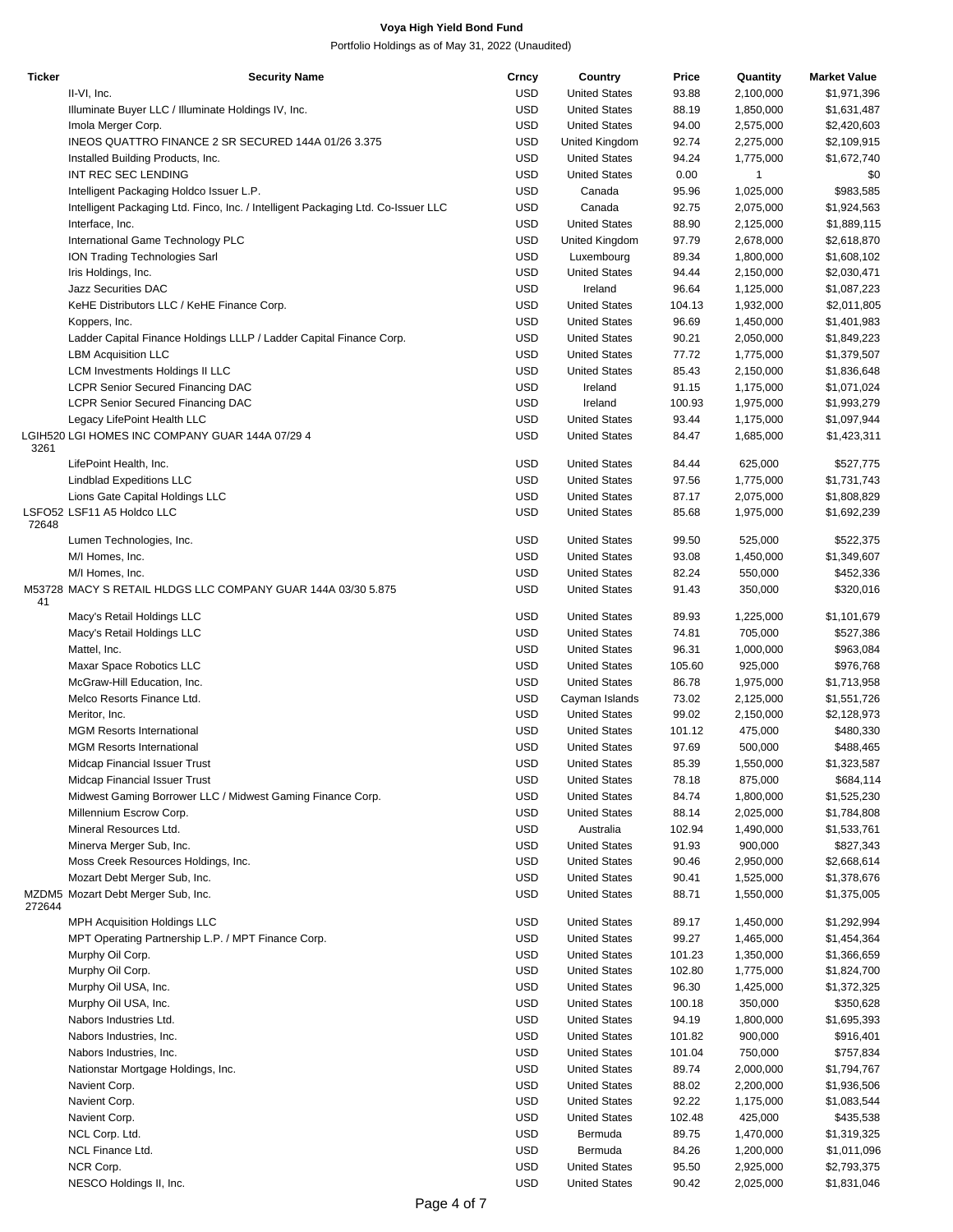| <b>Ticker</b> | <b>Security Name</b>                                                              | Crncy      | Country              | Price  | Quantity  | <b>Market Value</b> |
|---------------|-----------------------------------------------------------------------------------|------------|----------------------|--------|-----------|---------------------|
|               | II-VI, Inc.                                                                       | <b>USD</b> | <b>United States</b> | 93.88  | 2,100,000 | \$1,971,396         |
|               | Illuminate Buyer LLC / Illuminate Holdings IV, Inc.                               | <b>USD</b> | <b>United States</b> | 88.19  | 1,850,000 | \$1,631,487         |
|               | Imola Merger Corp.                                                                | <b>USD</b> | <b>United States</b> | 94.00  | 2,575,000 | \$2,420,603         |
|               | INEOS QUATTRO FINANCE 2 SR SECURED 144A 01/26 3.375                               | <b>USD</b> | United Kingdom       | 92.74  | 2,275,000 | \$2,109,915         |
|               | Installed Building Products, Inc.                                                 | <b>USD</b> | <b>United States</b> | 94.24  | 1,775,000 | \$1,672,740         |
|               | INT REC SEC LENDING                                                               | <b>USD</b> | <b>United States</b> | 0.00   | 1         | \$0                 |
|               | Intelligent Packaging Holdco Issuer L.P.                                          | <b>USD</b> | Canada               | 95.96  | 1,025,000 | \$983,585           |
|               | Intelligent Packaging Ltd. Finco, Inc. / Intelligent Packaging Ltd. Co-Issuer LLC | <b>USD</b> | Canada               | 92.75  | 2,075,000 | \$1,924,563         |
|               | Interface, Inc.                                                                   | <b>USD</b> | <b>United States</b> | 88.90  | 2,125,000 | \$1,889,115         |
|               |                                                                                   | <b>USD</b> |                      | 97.79  | 2,678,000 | \$2,618,870         |
|               | International Game Technology PLC                                                 | <b>USD</b> | United Kingdom       |        |           |                     |
|               | ION Trading Technologies Sarl                                                     |            | Luxembourg           | 89.34  | 1,800,000 | \$1,608,102         |
|               | Iris Holdings, Inc.                                                               | <b>USD</b> | <b>United States</b> | 94.44  | 2,150,000 | \$2,030,471         |
|               | <b>Jazz Securities DAC</b>                                                        | <b>USD</b> | Ireland              | 96.64  | 1,125,000 | \$1,087,223         |
|               | KeHE Distributors LLC / KeHE Finance Corp.                                        | <b>USD</b> | <b>United States</b> | 104.13 | 1,932,000 | \$2,011,805         |
|               | Koppers, Inc.                                                                     | <b>USD</b> | <b>United States</b> | 96.69  | 1,450,000 | \$1,401,983         |
|               | Ladder Capital Finance Holdings LLLP / Ladder Capital Finance Corp.               | <b>USD</b> | <b>United States</b> | 90.21  | 2,050,000 | \$1,849,223         |
|               | <b>LBM Acquisition LLC</b>                                                        | <b>USD</b> | <b>United States</b> | 77.72  | 1,775,000 | \$1,379,507         |
|               | <b>LCM Investments Holdings II LLC</b>                                            | <b>USD</b> | <b>United States</b> | 85.43  | 2,150,000 | \$1,836,648         |
|               | <b>LCPR Senior Secured Financing DAC</b>                                          | <b>USD</b> | Ireland              | 91.15  | 1,175,000 | \$1,071,024         |
|               | <b>LCPR Senior Secured Financing DAC</b>                                          | <b>USD</b> | Ireland              | 100.93 | 1,975,000 | \$1,993,279         |
|               | Legacy LifePoint Health LLC                                                       | <b>USD</b> | <b>United States</b> | 93.44  | 1,175,000 | \$1,097,944         |
|               | LGIH520 LGI HOMES INC COMPANY GUAR 144A 07/29 4                                   | <b>USD</b> | <b>United States</b> | 84.47  | 1,685,000 | \$1,423,311         |
| 3261          |                                                                                   |            |                      |        |           |                     |
|               | LifePoint Health, Inc.                                                            | <b>USD</b> | <b>United States</b> | 84.44  | 625,000   | \$527,775           |
|               | <b>Lindblad Expeditions LLC</b>                                                   | <b>USD</b> | <b>United States</b> | 97.56  | 1,775,000 | \$1,731,743         |
|               | Lions Gate Capital Holdings LLC                                                   | <b>USD</b> | <b>United States</b> | 87.17  | 2,075,000 | \$1,808,829         |
|               | LSFO52 LSF11 A5 Holdco LLC                                                        | <b>USD</b> | <b>United States</b> | 85.68  | 1,975,000 | \$1,692,239         |
| 72648         |                                                                                   |            |                      |        |           |                     |
|               | Lumen Technologies, Inc.                                                          | <b>USD</b> | <b>United States</b> | 99.50  | 525,000   | \$522,375           |
|               | M/I Homes, Inc.                                                                   | <b>USD</b> | <b>United States</b> | 93.08  | 1,450,000 | \$1,349,607         |
|               | M/I Homes, Inc.                                                                   | <b>USD</b> | <b>United States</b> | 82.24  | 550,000   | \$452,336           |
|               | M53728 MACY S RETAIL HLDGS LLC COMPANY GUAR 144A 03/30 5.875                      | <b>USD</b> | <b>United States</b> | 91.43  | 350,000   | \$320,016           |
| 41            |                                                                                   |            |                      |        |           |                     |
|               | Macy's Retail Holdings LLC                                                        | <b>USD</b> | <b>United States</b> | 89.93  | 1,225,000 | \$1,101,679         |
|               | Macy's Retail Holdings LLC                                                        | <b>USD</b> | <b>United States</b> | 74.81  | 705,000   | \$527,386           |
|               | Mattel, Inc.                                                                      | <b>USD</b> | <b>United States</b> | 96.31  | 1,000,000 | \$963,084           |
|               | Maxar Space Robotics LLC                                                          | <b>USD</b> | <b>United States</b> | 105.60 | 925,000   | \$976,768           |
|               | McGraw-Hill Education, Inc.                                                       | <b>USD</b> | <b>United States</b> | 86.78  | 1,975,000 | \$1,713,958         |
|               | Melco Resorts Finance Ltd.                                                        | <b>USD</b> | Cayman Islands       | 73.02  | 2,125,000 | \$1,551,726         |
|               | Meritor, Inc.                                                                     | <b>USD</b> | <b>United States</b> | 99.02  | 2,150,000 | \$2,128,973         |
|               | <b>MGM Resorts International</b>                                                  | <b>USD</b> | <b>United States</b> | 101.12 | 475,000   | \$480,330           |
|               | <b>MGM Resorts International</b>                                                  | <b>USD</b> | <b>United States</b> | 97.69  | 500,000   | \$488,465           |
|               | Midcap Financial Issuer Trust                                                     | <b>USD</b> | <b>United States</b> | 85.39  | 1,550,000 | \$1,323,587         |
|               | Midcap Financial Issuer Trust                                                     | <b>USD</b> | <b>United States</b> | 78.18  | 875,000   | \$684,114           |
|               | Midwest Gaming Borrower LLC / Midwest Gaming Finance Corp.                        | <b>USD</b> | <b>United States</b> | 84.74  | 1,800,000 | \$1,525,230         |
|               | Millennium Escrow Corp.                                                           | <b>USD</b> | <b>United States</b> | 88.14  | 2,025,000 | \$1,784,808         |
|               |                                                                                   |            |                      |        |           |                     |
|               | Mineral Resources Ltd.                                                            | <b>USD</b> | Australia            | 102.94 | 1,490,000 | \$1,533,761         |
|               | Minerva Merger Sub, Inc.                                                          | <b>USD</b> | <b>United States</b> | 91.93  | 900,000   | \$827,343           |
|               | Moss Creek Resources Holdings, Inc.                                               | <b>USD</b> | <b>United States</b> | 90.46  | 2,950,000 | \$2,668,614         |
|               | Mozart Debt Merger Sub, Inc.                                                      | <b>USD</b> | <b>United States</b> | 90.41  | 1,525,000 | \$1,378,676         |
|               | MZDM5 Mozart Debt Merger Sub, Inc.                                                | <b>USD</b> | <b>United States</b> | 88.71  | 1,550,000 | \$1,375,005         |
| 272644        |                                                                                   |            | <b>United States</b> |        |           |                     |
|               | <b>MPH Acquisition Holdings LLC</b>                                               | <b>USD</b> |                      | 89.17  | 1,450,000 | \$1,292,994         |
|               | MPT Operating Partnership L.P. / MPT Finance Corp.                                | <b>USD</b> | <b>United States</b> | 99.27  | 1,465,000 | \$1,454,364         |
|               | Murphy Oil Corp.                                                                  | <b>USD</b> | <b>United States</b> | 101.23 | 1,350,000 | \$1,366,659         |
|               | Murphy Oil Corp.                                                                  | <b>USD</b> | <b>United States</b> | 102.80 | 1,775,000 | \$1,824,700         |
|               | Murphy Oil USA, Inc.                                                              | <b>USD</b> | <b>United States</b> | 96.30  | 1,425,000 | \$1,372,325         |
|               | Murphy Oil USA, Inc.                                                              | <b>USD</b> | <b>United States</b> | 100.18 | 350,000   | \$350,628           |
|               | Nabors Industries Ltd.                                                            | <b>USD</b> | <b>United States</b> | 94.19  | 1,800,000 | \$1,695,393         |
|               | Nabors Industries, Inc.                                                           | <b>USD</b> | <b>United States</b> | 101.82 | 900,000   | \$916,401           |
|               | Nabors Industries, Inc.                                                           | <b>USD</b> | <b>United States</b> | 101.04 | 750,000   | \$757,834           |
|               | Nationstar Mortgage Holdings, Inc.                                                | <b>USD</b> | <b>United States</b> | 89.74  | 2,000,000 | \$1,794,767         |
|               | Navient Corp.                                                                     | <b>USD</b> | <b>United States</b> | 88.02  | 2,200,000 | \$1,936,506         |
|               | Navient Corp.                                                                     | <b>USD</b> | <b>United States</b> | 92.22  | 1,175,000 | \$1,083,544         |
|               | Navient Corp.                                                                     | <b>USD</b> | <b>United States</b> | 102.48 | 425,000   | \$435,538           |
|               | NCL Corp. Ltd.                                                                    | <b>USD</b> | Bermuda              | 89.75  | 1,470,000 | \$1,319,325         |
|               | NCL Finance Ltd.                                                                  | <b>USD</b> | Bermuda              | 84.26  | 1,200,000 | \$1,011,096         |
|               | NCR Corp.                                                                         | <b>USD</b> | <b>United States</b> | 95.50  |           |                     |
|               |                                                                                   |            |                      |        | 2,925,000 | \$2,793,375         |
|               | NESCO Holdings II, Inc.                                                           | <b>USD</b> | <b>United States</b> | 90.42  | 2,025,000 | \$1,831,046         |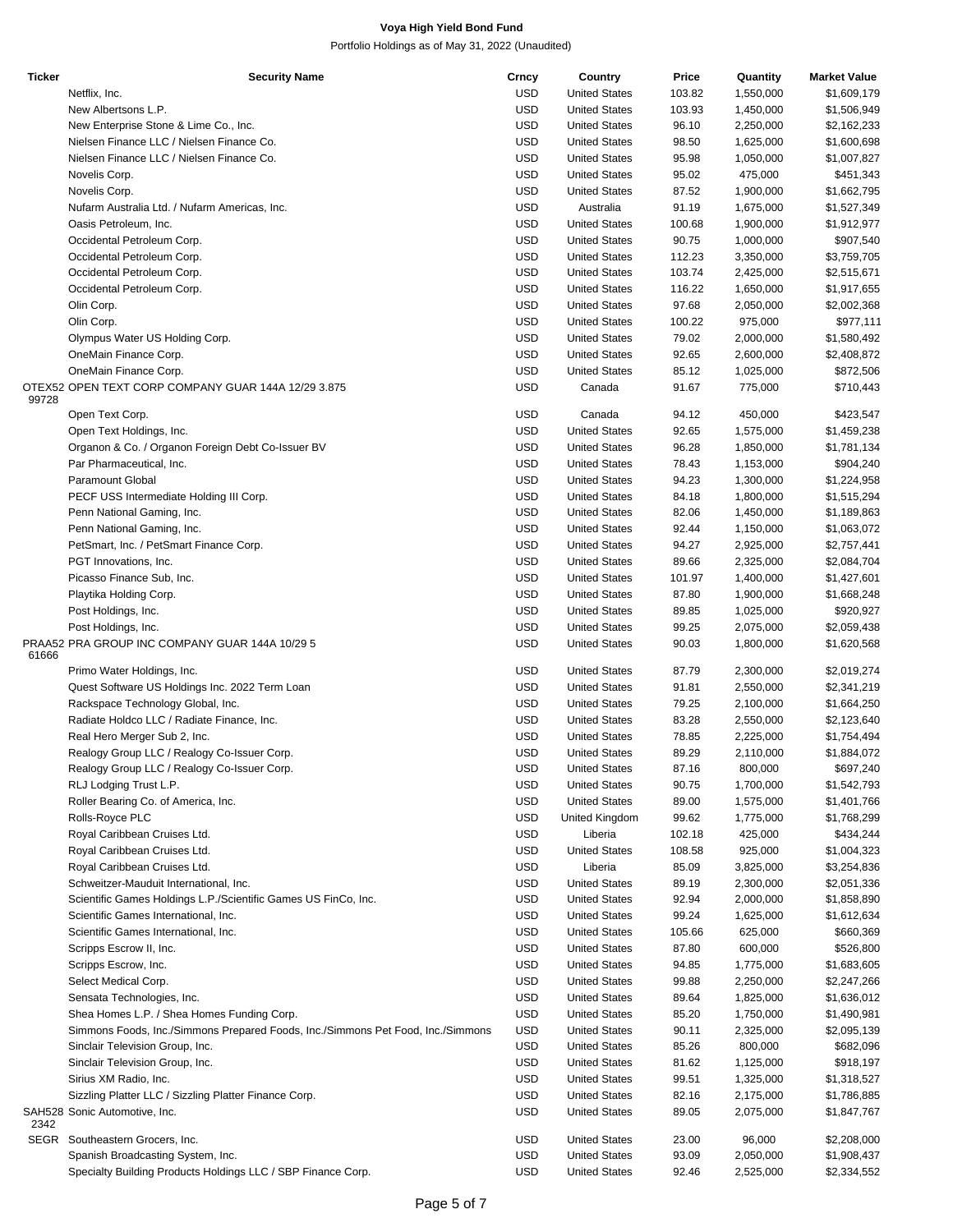| <b>Ticker</b> | <b>Security Name</b>                                                            | Crncy      | Country              | Price  | Quantity  | <b>Market Value</b> |
|---------------|---------------------------------------------------------------------------------|------------|----------------------|--------|-----------|---------------------|
|               | Netflix, Inc.                                                                   | USD        | <b>United States</b> | 103.82 | 1,550,000 | \$1,609,179         |
|               | New Albertsons L.P.                                                             | <b>USD</b> | <b>United States</b> | 103.93 | 1,450,000 | \$1,506,949         |
|               |                                                                                 |            |                      |        |           |                     |
|               | New Enterprise Stone & Lime Co., Inc.                                           | <b>USD</b> | <b>United States</b> | 96.10  | 2,250,000 | \$2,162,233         |
|               | Nielsen Finance LLC / Nielsen Finance Co.                                       | <b>USD</b> | <b>United States</b> | 98.50  | 1,625,000 | \$1,600,698         |
|               | Nielsen Finance LLC / Nielsen Finance Co.                                       | USD        | <b>United States</b> | 95.98  | 1,050,000 | \$1,007,827         |
|               | Novelis Corp.                                                                   | <b>USD</b> | <b>United States</b> | 95.02  | 475,000   | \$451,343           |
|               | Novelis Corp.                                                                   | <b>USD</b> | <b>United States</b> | 87.52  | 1,900,000 | \$1,662,795         |
|               | Nufarm Australia Ltd. / Nufarm Americas, Inc.                                   | <b>USD</b> | Australia            | 91.19  | 1,675,000 | \$1,527,349         |
|               |                                                                                 |            |                      |        |           |                     |
|               | Oasis Petroleum, Inc.                                                           | USD        | <b>United States</b> | 100.68 | 1,900,000 | \$1,912,977         |
|               | Occidental Petroleum Corp.                                                      | <b>USD</b> | <b>United States</b> | 90.75  | 1,000,000 | \$907,540           |
|               | Occidental Petroleum Corp.                                                      | <b>USD</b> | <b>United States</b> | 112.23 | 3,350,000 | \$3,759,705         |
|               | Occidental Petroleum Corp.                                                      | <b>USD</b> | <b>United States</b> | 103.74 | 2,425,000 | \$2,515,671         |
|               | Occidental Petroleum Corp.                                                      | <b>USD</b> | <b>United States</b> | 116.22 | 1,650,000 | \$1,917,655         |
|               | Olin Corp.                                                                      | <b>USD</b> | <b>United States</b> | 97.68  | 2,050,000 | \$2,002,368         |
|               | Olin Corp.                                                                      | <b>USD</b> | <b>United States</b> | 100.22 | 975,000   |                     |
|               |                                                                                 |            |                      |        |           | \$977,111           |
|               | Olympus Water US Holding Corp.                                                  | <b>USD</b> | <b>United States</b> | 79.02  | 2,000,000 | \$1,580,492         |
|               | OneMain Finance Corp.                                                           | <b>USD</b> | <b>United States</b> | 92.65  | 2,600,000 | \$2,408,872         |
|               | OneMain Finance Corp.                                                           | <b>USD</b> | <b>United States</b> | 85.12  | 1,025,000 | \$872,506           |
|               | OTEX52 OPEN TEXT CORP COMPANY GUAR 144A 12/29 3.875                             | <b>USD</b> | Canada               | 91.67  | 775,000   | \$710,443           |
| 99728         |                                                                                 |            |                      |        |           |                     |
|               | Open Text Corp.                                                                 | USD        | Canada               | 94.12  | 450,000   | \$423,547           |
|               | Open Text Holdings, Inc.                                                        | <b>USD</b> | <b>United States</b> | 92.65  | 1,575,000 | \$1,459,238         |
|               | Organon & Co. / Organon Foreign Debt Co-Issuer BV                               | <b>USD</b> | <b>United States</b> | 96.28  | 1,850,000 | \$1,781,134         |
|               |                                                                                 |            | <b>United States</b> |        |           |                     |
|               | Par Pharmaceutical, Inc.                                                        | <b>USD</b> |                      | 78.43  | 1,153,000 | \$904,240           |
|               | Paramount Global                                                                | <b>USD</b> | <b>United States</b> | 94.23  | 1,300,000 | \$1,224,958         |
|               | PECF USS Intermediate Holding III Corp.                                         | USD        | <b>United States</b> | 84.18  | 1,800,000 | \$1,515,294         |
|               | Penn National Gaming, Inc.                                                      | <b>USD</b> | <b>United States</b> | 82.06  | 1,450,000 | \$1,189,863         |
|               | Penn National Gaming, Inc.                                                      | <b>USD</b> | <b>United States</b> | 92.44  | 1,150,000 | \$1,063,072         |
|               | PetSmart, Inc. / PetSmart Finance Corp.                                         | <b>USD</b> | <b>United States</b> | 94.27  | 2,925,000 | \$2,757,441         |
|               | PGT Innovations, Inc.                                                           | <b>USD</b> | <b>United States</b> | 89.66  | 2,325,000 | \$2,084,704         |
|               | Picasso Finance Sub, Inc.                                                       | <b>USD</b> | <b>United States</b> | 101.97 | 1,400,000 | \$1,427,601         |
|               |                                                                                 |            |                      |        |           |                     |
|               | Playtika Holding Corp.                                                          | USD        | <b>United States</b> | 87.80  | 1,900,000 | \$1,668,248         |
|               | Post Holdings, Inc.                                                             | <b>USD</b> | <b>United States</b> | 89.85  | 1,025,000 | \$920,927           |
|               | Post Holdings, Inc.                                                             | <b>USD</b> | <b>United States</b> | 99.25  | 2,075,000 | \$2,059,438         |
|               | PRAA52 PRA GROUP INC COMPANY GUAR 144A 10/29 5                                  | <b>USD</b> | <b>United States</b> | 90.03  | 1,800,000 | \$1,620,568         |
| 61666         |                                                                                 |            |                      |        |           |                     |
|               | Primo Water Holdings, Inc.                                                      | USD        | <b>United States</b> | 87.79  | 2,300,000 | \$2,019,274         |
|               | Quest Software US Holdings Inc. 2022 Term Loan                                  | <b>USD</b> | <b>United States</b> | 91.81  | 2,550,000 | \$2,341,219         |
|               | Rackspace Technology Global, Inc.                                               | USD        | <b>United States</b> | 79.25  | 2,100,000 | \$1,664,250         |
|               | Radiate Holdco LLC / Radiate Finance, Inc.                                      | <b>USD</b> | <b>United States</b> | 83.28  | 2,550,000 | \$2,123,640         |
|               |                                                                                 |            |                      |        |           |                     |
|               | Real Hero Merger Sub 2, Inc.                                                    | <b>USD</b> | <b>United States</b> | 78.85  | 2,225,000 | \$1,754,494         |
|               | Realogy Group LLC / Realogy Co-Issuer Corp.                                     | <b>USD</b> | <b>United States</b> | 89.29  | 2,110,000 | \$1,884,072         |
|               | Realogy Group LLC / Realogy Co-Issuer Corp.                                     | <b>USD</b> | <b>United States</b> | 87.16  | 800,000   | \$697,240           |
|               | RLJ Lodging Trust L.P.                                                          | USD        | <b>United States</b> | 90.75  | 1,700,000 | \$1,542,793         |
|               | Roller Bearing Co. of America, Inc.                                             | USD        | <b>United States</b> | 89.00  | 1,575,000 | \$1,401,766         |
|               | Rolls-Royce PLC                                                                 | <b>USD</b> | United Kingdom       | 99.62  | 1,775,000 | \$1,768,299         |
|               | Royal Caribbean Cruises Ltd.                                                    | <b>USD</b> | Liberia              | 102.18 | 425,000   | \$434,244           |
|               | Royal Caribbean Cruises Ltd.                                                    | <b>USD</b> |                      |        | 925,000   |                     |
|               |                                                                                 |            | <b>United States</b> | 108.58 |           | \$1,004,323         |
|               | Royal Caribbean Cruises Ltd.                                                    | USD        | Liberia              | 85.09  | 3,825,000 | \$3,254,836         |
|               | Schweitzer-Mauduit International, Inc.                                          | <b>USD</b> | <b>United States</b> | 89.19  | 2,300,000 | \$2,051,336         |
|               | Scientific Games Holdings L.P./Scientific Games US FinCo, Inc.                  | USD        | <b>United States</b> | 92.94  | 2,000,000 | \$1,858,890         |
|               | Scientific Games International, Inc.                                            | USD        | <b>United States</b> | 99.24  | 1,625,000 | \$1,612,634         |
|               | Scientific Games International, Inc.                                            | USD        | <b>United States</b> | 105.66 | 625,000   | \$660,369           |
|               | Scripps Escrow II, Inc.                                                         | <b>USD</b> | <b>United States</b> | 87.80  | 600,000   | \$526,800           |
|               |                                                                                 |            |                      |        |           |                     |
|               | Scripps Escrow, Inc.                                                            | USD        | <b>United States</b> | 94.85  | 1,775,000 | \$1,683,605         |
|               | Select Medical Corp.                                                            | <b>USD</b> | <b>United States</b> | 99.88  | 2,250,000 | \$2,247,266         |
|               | Sensata Technologies, Inc.                                                      | USD        | <b>United States</b> | 89.64  | 1,825,000 | \$1,636,012         |
|               | Shea Homes L.P. / Shea Homes Funding Corp.                                      | <b>USD</b> | <b>United States</b> | 85.20  | 1,750,000 | \$1,490,981         |
|               | Simmons Foods, Inc./Simmons Prepared Foods, Inc./Simmons Pet Food, Inc./Simmons | USD        | <b>United States</b> | 90.11  | 2,325,000 | \$2,095,139         |
|               | Sinclair Television Group, Inc.                                                 | USD        | <b>United States</b> | 85.26  | 800,000   | \$682,096           |
|               | Sinclair Television Group, Inc.                                                 | USD        | <b>United States</b> | 81.62  | 1,125,000 | \$918,197           |
|               | Sirius XM Radio, Inc.                                                           | <b>USD</b> | <b>United States</b> | 99.51  | 1,325,000 | \$1,318,527         |
|               |                                                                                 | <b>USD</b> | <b>United States</b> |        | 2,175,000 |                     |
|               | Sizzling Platter LLC / Sizzling Platter Finance Corp.                           |            |                      | 82.16  |           | \$1,786,885         |
| 2342          | SAH528 Sonic Automotive, Inc.                                                   | USD        | <b>United States</b> | 89.05  | 2,075,000 | \$1,847,767         |
|               | SEGR Southeastern Grocers, Inc.                                                 | <b>USD</b> | <b>United States</b> | 23.00  | 96,000    | \$2,208,000         |
|               |                                                                                 |            |                      |        |           |                     |
|               | Spanish Broadcasting System, Inc.                                               | USD        | <b>United States</b> | 93.09  | 2,050,000 | \$1,908,437         |
|               | Specialty Building Products Holdings LLC / SBP Finance Corp.                    | <b>USD</b> | <b>United States</b> | 92.46  | 2,525,000 | \$2,334,552         |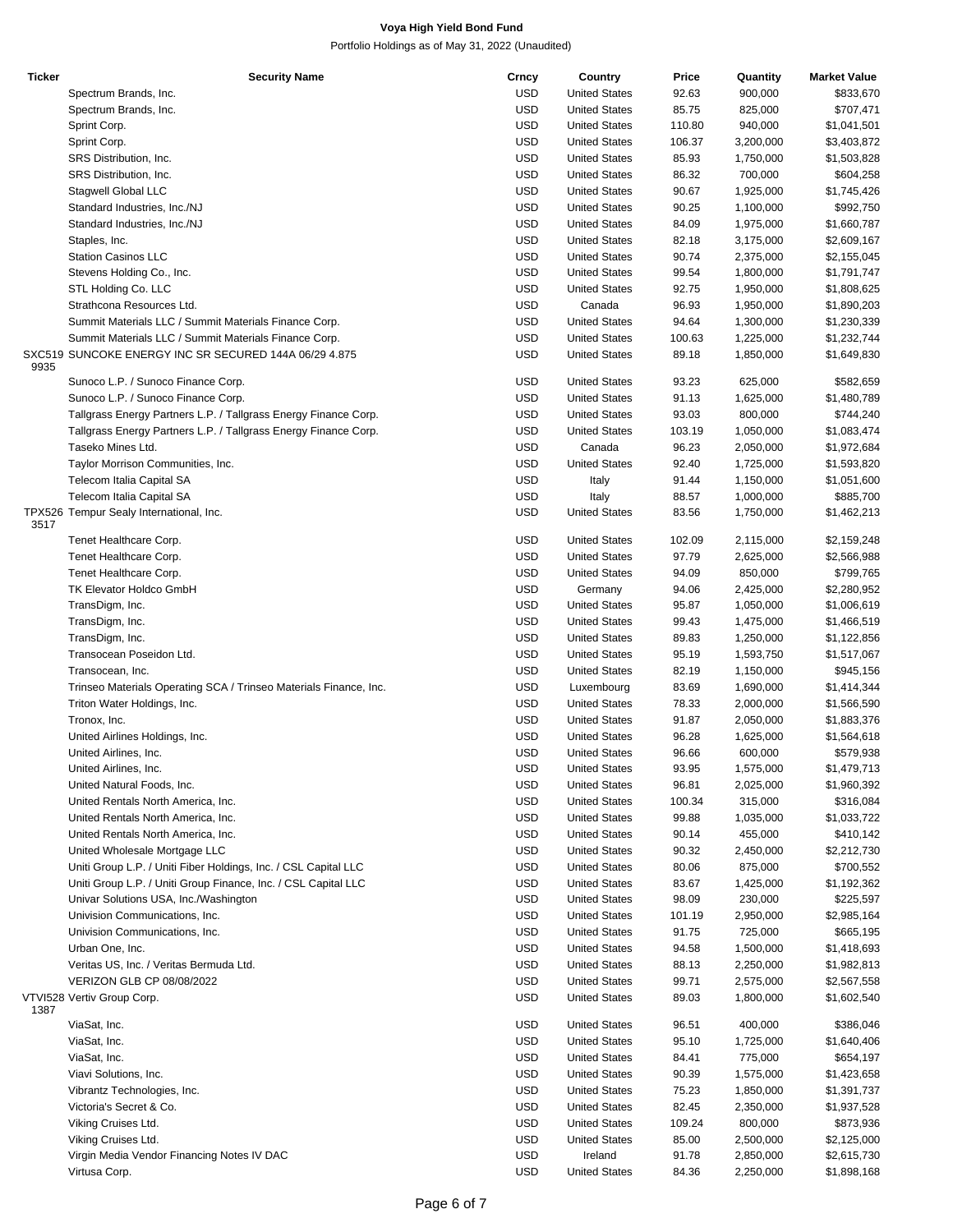| <b>Ticker</b> | <b>Security Name</b>                                              | Crncy      | Country              | Price  | Quantity  | <b>Market Value</b> |
|---------------|-------------------------------------------------------------------|------------|----------------------|--------|-----------|---------------------|
|               | Spectrum Brands, Inc.                                             | <b>USD</b> | <b>United States</b> | 92.63  | 900,000   | \$833,670           |
|               | Spectrum Brands, Inc.                                             | <b>USD</b> | <b>United States</b> | 85.75  | 825,000   | \$707,471           |
|               | Sprint Corp.                                                      | <b>USD</b> | <b>United States</b> | 110.80 | 940,000   | \$1,041,501         |
|               | Sprint Corp.                                                      | <b>USD</b> | <b>United States</b> | 106.37 | 3,200,000 | \$3,403,872         |
|               |                                                                   |            |                      |        |           |                     |
|               | SRS Distribution, Inc.                                            | <b>USD</b> | <b>United States</b> | 85.93  | 1,750,000 | \$1,503,828         |
|               | SRS Distribution, Inc.                                            | <b>USD</b> | <b>United States</b> | 86.32  | 700,000   | \$604,258           |
|               | Stagwell Global LLC                                               | <b>USD</b> | <b>United States</b> | 90.67  | 1,925,000 | \$1,745,426         |
|               | Standard Industries, Inc./NJ                                      | <b>USD</b> | <b>United States</b> | 90.25  | 1,100,000 | \$992,750           |
|               | Standard Industries, Inc./NJ                                      | <b>USD</b> | <b>United States</b> | 84.09  | 1,975,000 | \$1,660,787         |
|               | Staples, Inc.                                                     | <b>USD</b> | <b>United States</b> | 82.18  | 3,175,000 | \$2,609,167         |
|               | <b>Station Casinos LLC</b>                                        | <b>USD</b> | <b>United States</b> | 90.74  | 2,375,000 | \$2,155,045         |
|               | Stevens Holding Co., Inc.                                         | <b>USD</b> | <b>United States</b> | 99.54  | 1,800,000 | \$1,791,747         |
|               |                                                                   | <b>USD</b> |                      |        |           |                     |
|               | STL Holding Co. LLC                                               |            | <b>United States</b> | 92.75  | 1,950,000 | \$1,808,625         |
|               | Strathcona Resources Ltd.                                         | <b>USD</b> | Canada               | 96.93  | 1,950,000 | \$1,890,203         |
|               | Summit Materials LLC / Summit Materials Finance Corp.             | <b>USD</b> | <b>United States</b> | 94.64  | 1,300,000 | \$1,230,339         |
|               | Summit Materials LLC / Summit Materials Finance Corp.             | <b>USD</b> | <b>United States</b> | 100.63 | 1,225,000 | \$1,232,744         |
| 9935          | SXC519 SUNCOKE ENERGY INC SR SECURED 144A 06/29 4.875             | <b>USD</b> | <b>United States</b> | 89.18  | 1,850,000 | \$1,649,830         |
|               | Sunoco L.P. / Sunoco Finance Corp.                                | <b>USD</b> | <b>United States</b> | 93.23  | 625,000   | \$582,659           |
|               | Sunoco L.P. / Sunoco Finance Corp.                                | <b>USD</b> | <b>United States</b> | 91.13  | 1,625,000 | \$1,480,789         |
|               | Tallgrass Energy Partners L.P. / Tallgrass Energy Finance Corp.   | <b>USD</b> | <b>United States</b> | 93.03  | 800,000   | \$744,240           |
|               | Tallgrass Energy Partners L.P. / Tallgrass Energy Finance Corp.   | <b>USD</b> | <b>United States</b> | 103.19 | 1,050,000 | \$1,083,474         |
|               |                                                                   |            |                      |        |           |                     |
|               | Taseko Mines Ltd.                                                 | <b>USD</b> | Canada               | 96.23  | 2,050,000 | \$1,972,684         |
|               | Taylor Morrison Communities, Inc.                                 | <b>USD</b> | <b>United States</b> | 92.40  | 1,725,000 | \$1,593,820         |
|               | Telecom Italia Capital SA                                         | <b>USD</b> | Italy                | 91.44  | 1,150,000 | \$1,051,600         |
|               | Telecom Italia Capital SA                                         | <b>USD</b> | Italy                | 88.57  | 1,000,000 | \$885,700           |
| 3517          | TPX526 Tempur Sealy International, Inc.                           | <b>USD</b> | <b>United States</b> | 83.56  | 1,750,000 | \$1,462,213         |
|               | Tenet Healthcare Corp.                                            | <b>USD</b> | <b>United States</b> | 102.09 | 2,115,000 | \$2,159,248         |
|               | Tenet Healthcare Corp.                                            | <b>USD</b> | <b>United States</b> | 97.79  | 2,625,000 | \$2,566,988         |
|               | Tenet Healthcare Corp.                                            | <b>USD</b> | <b>United States</b> | 94.09  | 850,000   | \$799,765           |
|               |                                                                   |            |                      |        |           |                     |
|               | <b>TK Elevator Holdco GmbH</b>                                    | <b>USD</b> | Germany              | 94.06  | 2,425,000 | \$2,280,952         |
|               | TransDigm, Inc.                                                   | <b>USD</b> | <b>United States</b> | 95.87  | 1,050,000 | \$1,006,619         |
|               | TransDigm, Inc.                                                   | <b>USD</b> | <b>United States</b> | 99.43  | 1,475,000 | \$1,466,519         |
|               | TransDigm, Inc.                                                   | <b>USD</b> | <b>United States</b> | 89.83  | 1,250,000 | \$1,122,856         |
|               | Transocean Poseidon Ltd.                                          | <b>USD</b> | <b>United States</b> | 95.19  | 1,593,750 | \$1,517,067         |
|               | Transocean, Inc.                                                  | <b>USD</b> | <b>United States</b> | 82.19  | 1,150,000 | \$945,156           |
|               | Trinseo Materials Operating SCA / Trinseo Materials Finance, Inc. | <b>USD</b> | Luxembourg           | 83.69  | 1,690,000 | \$1,414,344         |
|               | Triton Water Holdings, Inc.                                       | <b>USD</b> | <b>United States</b> | 78.33  | 2,000,000 | \$1,566,590         |
|               |                                                                   |            |                      |        |           |                     |
|               | Tronox, Inc.                                                      | <b>USD</b> | <b>United States</b> | 91.87  | 2,050,000 | \$1,883,376         |
|               | United Airlines Holdings, Inc.                                    | <b>USD</b> | <b>United States</b> | 96.28  | 1,625,000 | \$1,564,618         |
|               | United Airlines, Inc.                                             | <b>USD</b> | <b>United States</b> | 96.66  | 600,000   | \$579,938           |
|               | United Airlines, Inc.                                             | <b>USD</b> | <b>United States</b> | 93.95  | 1,575,000 | \$1,479,713         |
|               | United Natural Foods, Inc.                                        | USD        | <b>United States</b> | 96.81  | 2,025,000 | \$1,960,392         |
|               | United Rentals North America, Inc.                                | USD        | <b>United States</b> | 100.34 | 315,000   | \$316,084           |
|               | United Rentals North America, Inc.                                | <b>USD</b> | <b>United States</b> | 99.88  | 1,035,000 | \$1,033,722         |
|               | United Rentals North America, Inc.                                | <b>USD</b> | <b>United States</b> | 90.14  | 455,000   | \$410,142           |
|               |                                                                   |            |                      |        |           |                     |
|               | United Wholesale Mortgage LLC                                     | <b>USD</b> | <b>United States</b> | 90.32  | 2,450,000 | \$2,212,730         |
|               | Uniti Group L.P. / Uniti Fiber Holdings, Inc. / CSL Capital LLC   | <b>USD</b> | <b>United States</b> | 80.06  | 875,000   | \$700,552           |
|               | Uniti Group L.P. / Uniti Group Finance, Inc. / CSL Capital LLC    | <b>USD</b> | <b>United States</b> | 83.67  | 1,425,000 | \$1,192,362         |
|               | Univar Solutions USA, Inc./Washington                             | <b>USD</b> | <b>United States</b> | 98.09  | 230,000   | \$225,597           |
|               | Univision Communications, Inc.                                    | <b>USD</b> | <b>United States</b> | 101.19 | 2,950,000 | \$2,985,164         |
|               | Univision Communications, Inc.                                    | <b>USD</b> | <b>United States</b> | 91.75  | 725,000   | \$665,195           |
|               | Urban One, Inc.                                                   | <b>USD</b> | <b>United States</b> | 94.58  | 1,500,000 | \$1,418,693         |
|               | Veritas US, Inc. / Veritas Bermuda Ltd.                           | <b>USD</b> | <b>United States</b> | 88.13  | 2,250,000 | \$1,982,813         |
|               |                                                                   |            |                      |        |           |                     |
|               | VERIZON GLB CP 08/08/2022                                         | <b>USD</b> | <b>United States</b> | 99.71  | 2,575,000 | \$2,567,558         |
| 1387          | VTVI528 Vertiv Group Corp.                                        | <b>USD</b> | <b>United States</b> | 89.03  | 1,800,000 | \$1,602,540         |
|               | ViaSat, Inc.                                                      | USD        | <b>United States</b> | 96.51  | 400,000   | \$386,046           |
|               | ViaSat, Inc.                                                      | USD        | <b>United States</b> | 95.10  | 1,725,000 | \$1,640,406         |
|               | ViaSat, Inc.                                                      | <b>USD</b> | <b>United States</b> | 84.41  | 775,000   | \$654,197           |
|               | Viavi Solutions, Inc.                                             | <b>USD</b> | <b>United States</b> | 90.39  | 1,575,000 | \$1,423,658         |
|               | Vibrantz Technologies, Inc.                                       | USD        | <b>United States</b> | 75.23  | 1,850,000 | \$1,391,737         |
|               |                                                                   |            |                      |        |           |                     |
|               | Victoria's Secret & Co.                                           | USD        | <b>United States</b> | 82.45  | 2,350,000 | \$1,937,528         |
|               | Viking Cruises Ltd.                                               | <b>USD</b> | <b>United States</b> | 109.24 | 800,000   | \$873,936           |
|               | Viking Cruises Ltd.                                               | USD        | <b>United States</b> | 85.00  | 2,500,000 | \$2,125,000         |
|               | Virgin Media Vendor Financing Notes IV DAC                        | USD        | Ireland              | 91.78  | 2,850,000 | \$2,615,730         |
|               | Virtusa Corp.                                                     | <b>USD</b> | <b>United States</b> | 84.36  | 2,250,000 | \$1,898,168         |